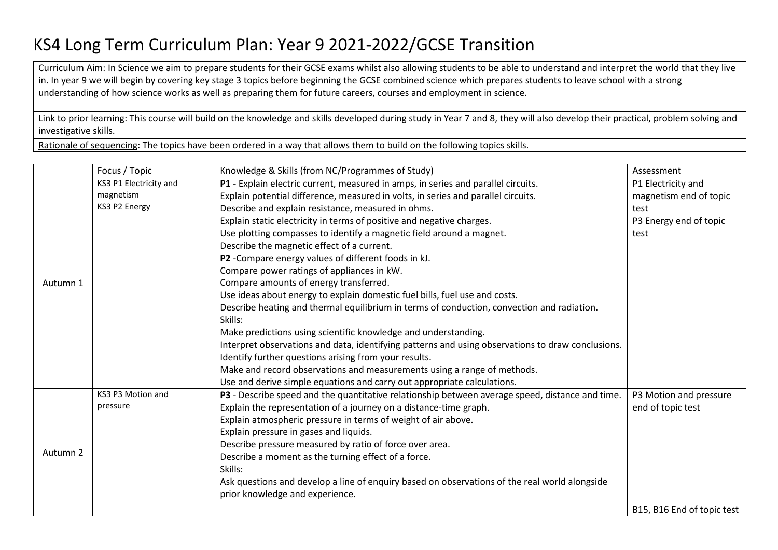## KS4 Long Term Curriculum Plan: Year 9 2021-2022/GCSE Transition

Curriculum Aim: In Science we aim to prepare students for their GCSE exams whilst also allowing students to be able to understand and interpret the world that they live in. In year 9 we will begin by covering key stage 3 topics before beginning the GCSE combined science which prepares students to leave school with a strong understanding of how science works as well as preparing them for future careers, courses and employment in science.

Link to prior learning: This course will build on the knowledge and skills developed during study in Year 7 and 8, they will also develop their practical, problem solving and investigative skills.

Rationale of sequencing: The topics have been ordered in a way that allows them to build on the following topics skills.

|          | Focus / Topic          | Knowledge & Skills (from NC/Programmes of Study)                                                  | Assessment                 |
|----------|------------------------|---------------------------------------------------------------------------------------------------|----------------------------|
| Autumn 1 | KS3 P1 Electricity and | P1 - Explain electric current, measured in amps, in series and parallel circuits.                 | P1 Electricity and         |
|          | magnetism              | Explain potential difference, measured in volts, in series and parallel circuits.                 | magnetism end of topic     |
|          | KS3 P2 Energy          | Describe and explain resistance, measured in ohms.                                                | test                       |
|          |                        | Explain static electricity in terms of positive and negative charges.                             | P3 Energy end of topic     |
|          |                        | Use plotting compasses to identify a magnetic field around a magnet.                              | test                       |
|          |                        | Describe the magnetic effect of a current.                                                        |                            |
|          |                        | P2 - Compare energy values of different foods in kJ.                                              |                            |
|          |                        | Compare power ratings of appliances in kW.                                                        |                            |
|          |                        | Compare amounts of energy transferred.                                                            |                            |
|          |                        | Use ideas about energy to explain domestic fuel bills, fuel use and costs.                        |                            |
|          |                        | Describe heating and thermal equilibrium in terms of conduction, convection and radiation.        |                            |
|          |                        | Skills:                                                                                           |                            |
|          |                        | Make predictions using scientific knowledge and understanding.                                    |                            |
|          |                        | Interpret observations and data, identifying patterns and using observations to draw conclusions. |                            |
|          |                        | Identify further questions arising from your results.                                             |                            |
|          |                        | Make and record observations and measurements using a range of methods.                           |                            |
|          |                        | Use and derive simple equations and carry out appropriate calculations.                           |                            |
| Autumn 2 | KS3 P3 Motion and      | P3 - Describe speed and the quantitative relationship between average speed, distance and time.   | P3 Motion and pressure     |
|          | pressure               | Explain the representation of a journey on a distance-time graph.                                 | end of topic test          |
|          |                        | Explain atmospheric pressure in terms of weight of air above.                                     |                            |
|          |                        | Explain pressure in gases and liquids.                                                            |                            |
|          |                        | Describe pressure measured by ratio of force over area.                                           |                            |
|          |                        | Describe a moment as the turning effect of a force.                                               |                            |
|          |                        | Skills:                                                                                           |                            |
|          |                        | Ask questions and develop a line of enquiry based on observations of the real world alongside     |                            |
|          |                        | prior knowledge and experience.                                                                   |                            |
|          |                        |                                                                                                   | B15, B16 End of topic test |